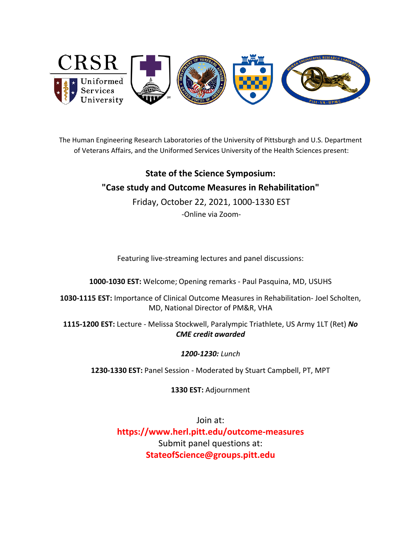

The Human Engineering Research Laboratories of the University of Pittsburgh and U.S. Department of Veterans Affairs, and the Uniformed Services University of the Health Sciences present:

# **State of the Science Symposium: "Case study and Outcome Measures in Rehabilitation"**

Friday, October 22, 2021, 1000-1330 EST -Online via Zoom-

Featuring live-streaming lectures and panel discussions:

**1000-1030 EST:** Welcome; Opening remarks - Paul Pasquina, MD, USUHS

**1030-1115 EST:** Importance of Clinical Outcome Measures in Rehabilitation- Joel Scholten, MD, National Director of PM&R, VHA

**1115-1200 EST:** Lecture - Melissa Stockwell, Paralympic Triathlete, US Army 1LT (Ret) *No CME credit awarded*

## *1200-1230: Lunch*

**1230-1330 EST:** Panel Session - Moderated by Stuart Campbell, PT, MPT

**1330 EST:** Adjournment

Join at: **[https://www.herl.pitt.edu/outcome-measures](https://www.herl.pitt.edu/health-disparities)** Submit panel questions at: **StateofScience@groups.pitt.edu**